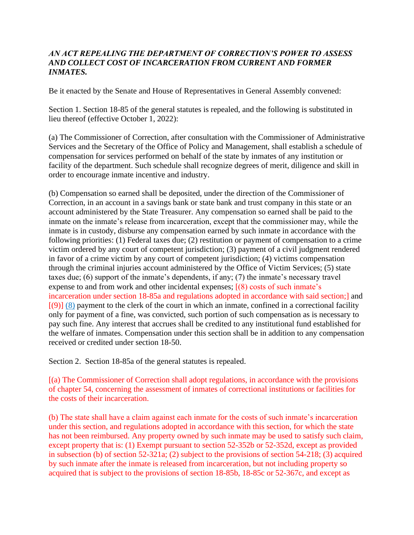## *AN ACT REPEALING THE DEPARTMENT OF CORRECTION'S POWER TO ASSESS AND COLLECT COST OF INCARCERATION FROM CURRENT AND FORMER INMATES.*

Be it enacted by the Senate and House of Representatives in General Assembly convened:

Section 1. Section 18-85 of the general statutes is repealed, and the following is substituted in lieu thereof (effective October 1, 2022):

(a) The Commissioner of Correction, after consultation with the Commissioner of Administrative Services and the Secretary of the Office of Policy and Management, shall establish a schedule of compensation for services performed on behalf of the state by inmates of any institution or facility of the department. Such schedule shall recognize degrees of merit, diligence and skill in order to encourage inmate incentive and industry.

(b) Compensation so earned shall be deposited, under the direction of the Commissioner of Correction, in an account in a savings bank or state bank and trust company in this state or an account administered by the State Treasurer. Any compensation so earned shall be paid to the inmate on the inmate's release from incarceration, except that the commissioner may, while the inmate is in custody, disburse any compensation earned by such inmate in accordance with the following priorities: (1) Federal taxes due; (2) restitution or payment of compensation to a crime victim ordered by any court of competent jurisdiction; (3) payment of a civil judgment rendered in favor of a crime victim by any court of competent jurisdiction; (4) victims compensation through the criminal injuries account administered by the Office of Victim Services; (5) state taxes due; (6) support of the inmate's dependents, if any; (7) the inmate's necessary travel expense to and from work and other incidental expenses; [(8) costs of such inmate's incarceration under section 18-85a and regulations adopted in accordance with said section;] and  $[(9)]$  (8) payment to the clerk of the court in which an inmate, confined in a correctional facility only for payment of a fine, was convicted, such portion of such compensation as is necessary to pay such fine. Any interest that accrues shall be credited to any institutional fund established for the welfare of inmates. Compensation under this section shall be in addition to any compensation received or credited under section 18-50.

Section 2. Section 18-85a of the general statutes is repealed.

[(a) The Commissioner of Correction shall adopt regulations, in accordance with the provisions of chapter 54, concerning the assessment of inmates of correctional institutions or facilities for the costs of their incarceration.

(b) The state shall have a claim against each inmate for the costs of such inmate's incarceration under this section, and regulations adopted in accordance with this section, for which the state has not been reimbursed. Any property owned by such inmate may be used to satisfy such claim, except property that is: (1) Exempt pursuant to section 52-352b or 52-352d, except as provided in subsection (b) of section 52-321a; (2) subject to the provisions of section 54-218; (3) acquired by such inmate after the inmate is released from incarceration, but not including property so acquired that is subject to the provisions of section 18-85b, 18-85c or 52-367c, and except as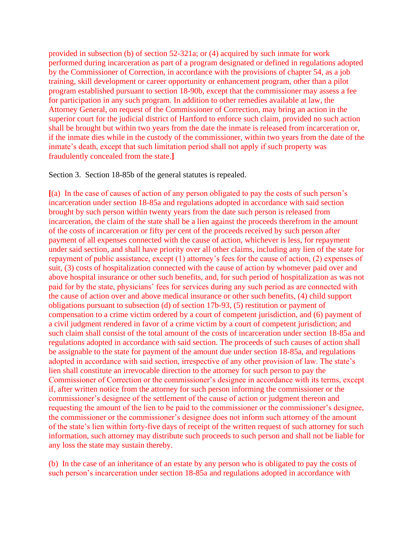provided in subsection (b) of section 52-321a; or (4) acquired by such inmate for work performed during incarceration as part of a program designated or defined in regulations adopted by the Commissioner of Correction, in accordance with the provisions of chapter 54, as a job training, skill development or career opportunity or enhancement program, other than a pilot program established pursuant to section 18-90b, except that the commissioner may assess a fee for participation in any such program. In addition to other remedies available at law, the Attorney General, on request of the Commissioner of Correction, may bring an action in the superior court for the judicial district of Hartford to enforce such claim, provided no such action shall be brought but within two years from the date the inmate is released from incarceration or, if the inmate dies while in the custody of the commissioner, within two years from the date of the inmate's death, except that such limitation period shall not apply if such property was fraudulently concealed from the state.**]**

Section 3. Section 18-85b of the general statutes is repealed.

**[**(a) In the case of causes of action of any person obligated to pay the costs of such person's incarceration under section 18-85a and regulations adopted in accordance with said section brought by such person within twenty years from the date such person is released from incarceration, the claim of the state shall be a lien against the proceeds therefrom in the amount of the costs of incarceration or fifty per cent of the proceeds received by such person after payment of all expenses connected with the cause of action, whichever is less, for repayment under said section, and shall have priority over all other claims, including any lien of the state for repayment of public assistance, except (1) attorney's fees for the cause of action, (2) expenses of suit, (3) costs of hospitalization connected with the cause of action by whomever paid over and above hospital insurance or other such benefits, and, for such period of hospitalization as was not paid for by the state, physicians' fees for services during any such period as are connected with the cause of action over and above medical insurance or other such benefits, (4) child support obligations pursuant to subsection (d) of section 17b-93, (5) restitution or payment of compensation to a crime victim ordered by a court of competent jurisdiction, and (6) payment of a civil judgment rendered in favor of a crime victim by a court of competent jurisdiction; and such claim shall consist of the total amount of the costs of incarceration under section 18-85a and regulations adopted in accordance with said section. The proceeds of such causes of action shall be assignable to the state for payment of the amount due under section 18-85a, and regulations adopted in accordance with said section, irrespective of any other provision of law. The state's lien shall constitute an irrevocable direction to the attorney for such person to pay the Commissioner of Correction or the commissioner's designee in accordance with its terms, except if, after written notice from the attorney for such person informing the commissioner or the commissioner's designee of the settlement of the cause of action or judgment thereon and requesting the amount of the lien to be paid to the commissioner or the commissioner's designee, the commissioner or the commissioner's designee does not inform such attorney of the amount of the state's lien within forty-five days of receipt of the written request of such attorney for such information, such attorney may distribute such proceeds to such person and shall not be liable for any loss the state may sustain thereby.

(b) In the case of an inheritance of an estate by any person who is obligated to pay the costs of such person's incarceration under section 18-85a and regulations adopted in accordance with